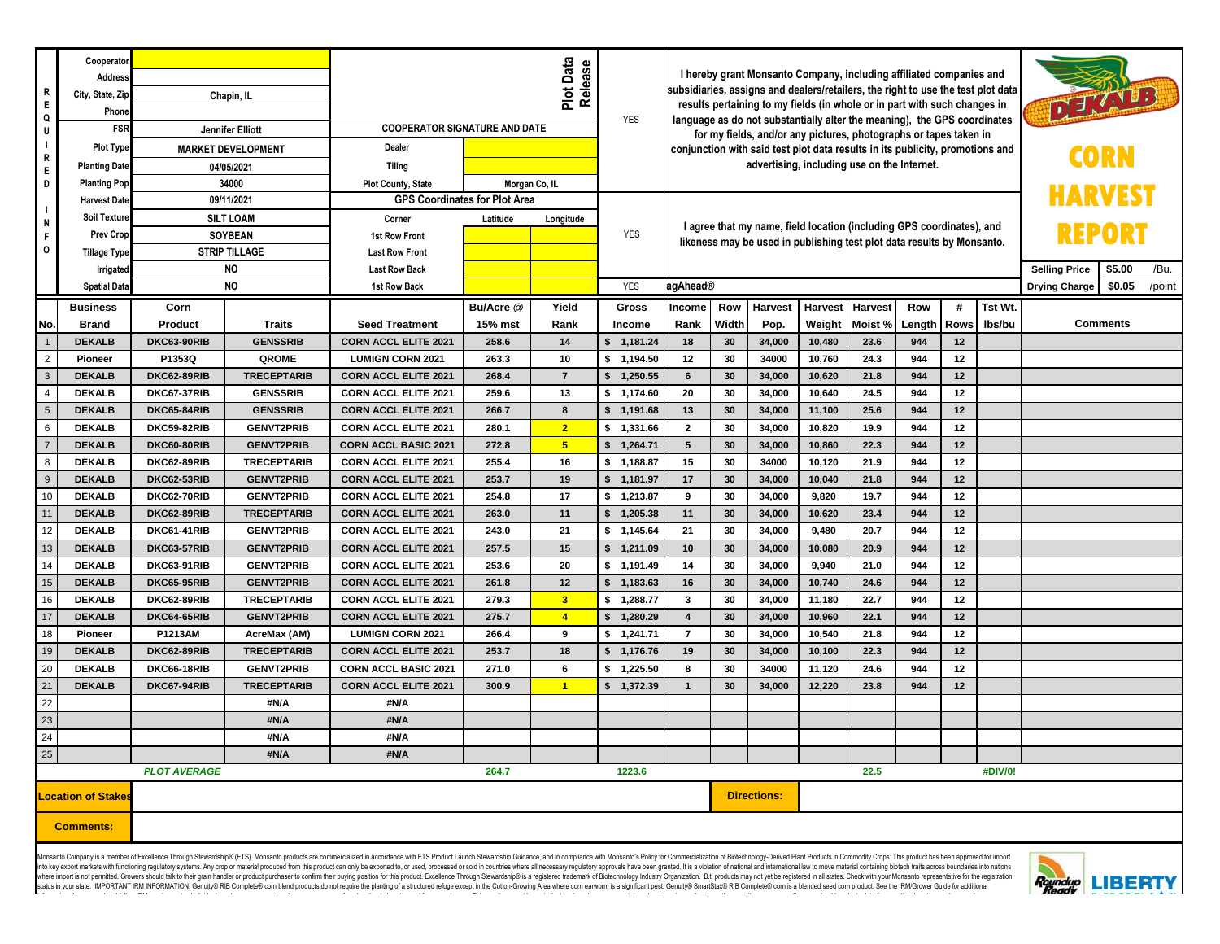| R<br>Ε.<br>Q                       | Cooperator<br>Address<br>City, State, Zip<br>Phone | Chapin, IL                                          |                          |                                                        | Release<br>YES | I hereby grant Monsanto Company, including affiliated companies and<br>subsidiaries, assigns and dealers/retailers, the right to use the test plot data<br>DEAVER<br>results pertaining to my fields (in whole or in part with such changes in<br>language as do not substantially alter the meaning), the GPS coordinates<br>for my fields, and/or any pictures, photographs or tapes taken in |                           |                                                                                                                                                                                                     |          |                 |                  |                |            |          |         |  |                 |  |  |
|------------------------------------|----------------------------------------------------|-----------------------------------------------------|--------------------------|--------------------------------------------------------|----------------|-------------------------------------------------------------------------------------------------------------------------------------------------------------------------------------------------------------------------------------------------------------------------------------------------------------------------------------------------------------------------------------------------|---------------------------|-----------------------------------------------------------------------------------------------------------------------------------------------------------------------------------------------------|----------|-----------------|------------------|----------------|------------|----------|---------|--|-----------------|--|--|
| U<br>$\overline{\phantom{a}}$<br>R | <b>FSR</b>                                         | Jennifer Elliott                                    |                          | <b>COOPERATOR SIGNATURE AND DATE</b>                   |                |                                                                                                                                                                                                                                                                                                                                                                                                 |                           |                                                                                                                                                                                                     |          |                 |                  |                |            |          |         |  |                 |  |  |
|                                    | <b>Plot Type</b>                                   | <b>MARKET DEVELOPMENT</b>                           |                          | Dealer                                                 |                |                                                                                                                                                                                                                                                                                                                                                                                                 |                           | conjunction with said test plot data results in its publicity, promotions and<br>advertising, including use on the Internet.                                                                        |          |                 |                  |                |            |          |         |  |                 |  |  |
| Ε.                                 | <b>Planting Date</b>                               | 04/05/2021                                          |                          | <b>Tiling</b>                                          |                |                                                                                                                                                                                                                                                                                                                                                                                                 |                           |                                                                                                                                                                                                     |          |                 |                  |                |            |          |         |  |                 |  |  |
| D                                  | <b>Planting Pop</b>                                | 34000                                               |                          | <b>Plot County, State</b>                              |                | Morgan Co, IL                                                                                                                                                                                                                                                                                                                                                                                   |                           |                                                                                                                                                                                                     |          |                 |                  |                |            |          |         |  |                 |  |  |
| N                                  | <b>Harvest Date</b>                                | 09/11/2021                                          |                          | <b>GPS Coordinates for Plot Area</b>                   |                |                                                                                                                                                                                                                                                                                                                                                                                                 |                           |                                                                                                                                                                                                     |          |                 |                  |                |            |          |         |  |                 |  |  |
|                                    | Soil Texture                                       | <b>SILT LOAM</b>                                    |                          | Corner                                                 | Latitude       | Longitude                                                                                                                                                                                                                                                                                                                                                                                       |                           | I agree that my name, field location (including GPS coordinates), and<br>REPORT<br>likeness may be used in publishing test plot data results by Monsanto.<br><b>Selling Price</b><br>\$5.00<br>/Bu. |          |                 |                  |                |            |          |         |  |                 |  |  |
| F.<br>0                            | <b>Prev Crop</b>                                   | <b>SOYBEAN</b><br><b>STRIP TILLAGE</b><br><b>NO</b> |                          | <b>1st Row Front</b>                                   |                |                                                                                                                                                                                                                                                                                                                                                                                                 | <b>YES</b>                |                                                                                                                                                                                                     |          |                 |                  |                |            |          |         |  |                 |  |  |
|                                    | <b>Tillage Type</b>                                |                                                     |                          | <b>Last Row Front</b>                                  |                |                                                                                                                                                                                                                                                                                                                                                                                                 |                           |                                                                                                                                                                                                     |          |                 |                  |                |            |          |         |  |                 |  |  |
|                                    | Irrigated                                          |                                                     |                          | <b>Last Row Back</b>                                   |                |                                                                                                                                                                                                                                                                                                                                                                                                 |                           |                                                                                                                                                                                                     |          |                 |                  |                |            |          |         |  |                 |  |  |
|                                    | <b>Spatial Data</b>                                | <b>NO</b>                                           |                          | 1st Row Back                                           |                |                                                                                                                                                                                                                                                                                                                                                                                                 | <b>YES</b>                | agAhead®<br><b>Drying Charge</b>                                                                                                                                                                    |          |                 |                  |                |            | \$0.05   | /point  |  |                 |  |  |
|                                    | <b>Business</b>                                    | Corn                                                |                          |                                                        | Bu/Acre @      | Yield                                                                                                                                                                                                                                                                                                                                                                                           | <b>Gross</b>              | <b>Income</b>                                                                                                                                                                                       | Row      | <b>Harvest</b>  | <b>Harvest</b>   | <b>Harvest</b> | Row        | #        | Tst Wt. |  |                 |  |  |
| No.                                | <b>Brand</b>                                       | Product                                             | <b>Traits</b>            | <b>Seed Treatment</b>                                  | 15% mst        | Rank                                                                                                                                                                                                                                                                                                                                                                                            | Income                    | Rank                                                                                                                                                                                                | Width    | Pop.            | Weight           | Moist %        | Length     | Rows     | Ibs/bu  |  | <b>Comments</b> |  |  |
| $\overline{2}$                     | <b>DEKALB</b><br>Pioneer                           | DKC63-90RIB<br>P1353Q                               | <b>GENSSRIB</b><br>QROME | <b>CORN ACCL ELITE 2021</b><br><b>LUMIGN CORN 2021</b> | 258.6<br>263.3 | 14<br>10                                                                                                                                                                                                                                                                                                                                                                                        | \$1,181.24<br>\$ 1,194.50 | 18<br>12                                                                                                                                                                                            | 30<br>30 | 34,000<br>34000 | 10,480<br>10,760 | 23.6<br>24.3   | 944<br>944 | 12<br>12 |         |  |                 |  |  |
| $\mathbf{3}$                       | <b>DEKALB</b>                                      | <b>DKC62-89RIB</b>                                  | <b>TRECEPTARIB</b>       | <b>CORN ACCL ELITE 2021</b>                            | 268.4          | $\overline{7}$                                                                                                                                                                                                                                                                                                                                                                                  | 1,250.55<br>\$            | 6                                                                                                                                                                                                   | 30       | 34,000          | 10,620           | 21.8           | 944        | 12       |         |  |                 |  |  |
| $\overline{4}$                     | <b>DEKALB</b>                                      | DKC67-37RIB                                         | <b>GENSSRIB</b>          | <b>CORN ACCL ELITE 2021</b>                            | 259.6          | 13                                                                                                                                                                                                                                                                                                                                                                                              | \$ 1,174.60               | 20                                                                                                                                                                                                  | 30       | 34,000          | 10,640           | 24.5           | 944        | 12       |         |  |                 |  |  |
| $5\phantom{.0}$                    | <b>DEKALB</b>                                      | DKC65-84RIB                                         | <b>GENSSRIB</b>          | <b>CORN ACCL ELITE 2021</b>                            | 266.7          | 8                                                                                                                                                                                                                                                                                                                                                                                               | \$1,191.68                | 13                                                                                                                                                                                                  | 30       | 34,000          | 11,100           | 25.6           | 944        | 12       |         |  |                 |  |  |
| 6                                  | <b>DEKALB</b>                                      | <b>DKC59-82RIB</b>                                  | <b>GENVT2PRIB</b>        | <b>CORN ACCL ELITE 2021</b>                            | 280.1          | $\overline{2}$                                                                                                                                                                                                                                                                                                                                                                                  | \$ 1,331.66               | $\mathbf{2}$                                                                                                                                                                                        | 30       | 34,000          | 10,820           | 19.9           | 944        | 12       |         |  |                 |  |  |
| $\overline{7}$                     | <b>DEKALB</b>                                      | DKC60-80RIB                                         | <b>GENVT2PRIB</b>        | <b>CORN ACCL BASIC 2021</b>                            | 272.8          | $5\phantom{.0}$                                                                                                                                                                                                                                                                                                                                                                                 | \$ 1,264.71               | 5                                                                                                                                                                                                   | 30       | 34,000          | 10,860           | 22.3           | 944        | 12       |         |  |                 |  |  |
| 8                                  | <b>DEKALB</b>                                      | DKC62-89RIB                                         | <b>TRECEPTARIB</b>       | <b>CORN ACCL ELITE 2021</b>                            | 255.4          | 16                                                                                                                                                                                                                                                                                                                                                                                              | \$1,188.87                | 15                                                                                                                                                                                                  | 30       | 34000           | 10,120           | 21.9           | 944        | 12       |         |  |                 |  |  |
| 9                                  | <b>DEKALB</b>                                      | DKC62-53RIB                                         | <b>GENVT2PRIB</b>        | <b>CORN ACCL ELITE 2021</b>                            | 253.7          | 19                                                                                                                                                                                                                                                                                                                                                                                              | \$1,181.97                | 17                                                                                                                                                                                                  | 30       | 34,000          | 10,040           | 21.8           | 944        | 12       |         |  |                 |  |  |
| 10                                 | <b>DEKALB</b>                                      | DKC62-70RIB                                         | <b>GENVT2PRIB</b>        | <b>CORN ACCL ELITE 2021</b>                            | 254.8          | 17                                                                                                                                                                                                                                                                                                                                                                                              | \$ 1,213.87               | 9                                                                                                                                                                                                   | 30       | 34,000          | 9,820            | 19.7           | 944        | 12       |         |  |                 |  |  |
| 11                                 | <b>DEKALB</b>                                      | DKC62-89RIB                                         | <b>TRECEPTARIB</b>       | <b>CORN ACCL ELITE 2021</b>                            | 263.0          | 11                                                                                                                                                                                                                                                                                                                                                                                              | s.<br>1,205.38            | 11                                                                                                                                                                                                  | 30       | 34,000          | 10,620           | 23.4           | 944        | 12       |         |  |                 |  |  |
| 12                                 | <b>DEKALB</b>                                      | DKC61-41RIB                                         | <b>GENVT2PRIB</b>        | <b>CORN ACCL ELITE 2021</b>                            | 243.0          | 21                                                                                                                                                                                                                                                                                                                                                                                              | \$1,145.64                | 21                                                                                                                                                                                                  | 30       | 34,000          | 9,480            | 20.7           | 944        | 12       |         |  |                 |  |  |
| 13                                 | <b>DEKALB</b>                                      | DKC63-57RIB                                         | <b>GENVT2PRIB</b>        | <b>CORN ACCL ELITE 2021</b>                            | 257.5          | 15                                                                                                                                                                                                                                                                                                                                                                                              | \$1,211.09                | 10                                                                                                                                                                                                  | 30       | 34,000          | 10,080           | 20.9           | 944        | 12       |         |  |                 |  |  |
| 14                                 | <b>DEKALB</b>                                      | DKC63-91RIB                                         | <b>GENVT2PRIB</b>        | <b>CORN ACCL ELITE 2021</b>                            | 253.6          | 20                                                                                                                                                                                                                                                                                                                                                                                              | \$1,191.49                | 14                                                                                                                                                                                                  | 30       | 34,000          | 9,940            | 21.0           | 944        | 12       |         |  |                 |  |  |
| 15                                 | <b>DEKALB</b>                                      | <b>DKC65-95RIB</b>                                  | <b>GENVT2PRIB</b>        | <b>CORN ACCL ELITE 2021</b>                            | 261.8          | 12                                                                                                                                                                                                                                                                                                                                                                                              | \$1,183.63                | 16                                                                                                                                                                                                  | 30       | 34,000          | 10,740           | 24.6           | 944        | 12       |         |  |                 |  |  |
| 16                                 | <b>DEKALB</b>                                      | DKC62-89RIB                                         | <b>TRECEPTARIB</b>       | <b>CORN ACCL ELITE 2021</b>                            | 279.3          | $\overline{\mathbf{3}}$                                                                                                                                                                                                                                                                                                                                                                         | \$1,288.77                | 3                                                                                                                                                                                                   | 30       | 34,000          | 11,180           | 22.7           | 944        | 12       |         |  |                 |  |  |
| 17                                 | <b>DEKALB</b>                                      | DKC64-65RIB                                         | <b>GENVT2PRIB</b>        | <b>CORN ACCL ELITE 2021</b>                            | 275.7          | $\overline{4}$                                                                                                                                                                                                                                                                                                                                                                                  | \$1,280.29                | $\overline{4}$                                                                                                                                                                                      | 30       | 34,000          | 10,960           | 22.1           | 944        | 12       |         |  |                 |  |  |
| 18                                 | Pioneer                                            | P1213AM                                             | AcreMax (AM)             | <b>LUMIGN CORN 2021</b>                                | 266.4          | 9                                                                                                                                                                                                                                                                                                                                                                                               | \$1,241.71                | $\overline{7}$                                                                                                                                                                                      | 30       | 34,000          | 10,540           | 21.8           | 944        | 12       |         |  |                 |  |  |
| 19                                 | <b>DEKALB</b>                                      | DKC62-89RIB                                         | <b>TRECEPTARIB</b>       | <b>CORN ACCL ELITE 2021</b>                            | 253.7          | 18                                                                                                                                                                                                                                                                                                                                                                                              | \$ 1,176.76               | 19                                                                                                                                                                                                  | 30       | 34,000          | 10,100           | 22.3           | 944        | 12       |         |  |                 |  |  |
| 20                                 | <b>DEKALB</b>                                      | DKC66-18RIB                                         | <b>GENVT2PRIB</b>        | <b>CORN ACCL BASIC 2021</b>                            | 271.0          | $\bf{6}$                                                                                                                                                                                                                                                                                                                                                                                        | \$ 1,225.50               | 8                                                                                                                                                                                                   | 30       | 34000           | 11,120           | 24.6           | 944        | 12       |         |  |                 |  |  |
| 21                                 | <b>DEKALB</b>                                      | DKC67-94RIB                                         | <b>TRECEPTARIB</b>       | <b>CORN ACCL ELITE 2021</b>                            | 300.9          | $\overline{1}$                                                                                                                                                                                                                                                                                                                                                                                  | \$1,372.39                | $\mathbf{1}$                                                                                                                                                                                        | 30       | 34,000          | 12,220           | 23.8           | 944        | 12       |         |  |                 |  |  |
| 22                                 |                                                    |                                                     | #N/A                     | #N/A                                                   |                |                                                                                                                                                                                                                                                                                                                                                                                                 |                           |                                                                                                                                                                                                     |          |                 |                  |                |            |          |         |  |                 |  |  |
| 23                                 |                                                    |                                                     | #N/A                     | #N/A                                                   |                |                                                                                                                                                                                                                                                                                                                                                                                                 |                           |                                                                                                                                                                                                     |          |                 |                  |                |            |          |         |  |                 |  |  |
| 24                                 |                                                    |                                                     | #N/A                     | #N/A                                                   |                |                                                                                                                                                                                                                                                                                                                                                                                                 |                           |                                                                                                                                                                                                     |          |                 |                  |                |            |          |         |  |                 |  |  |
| 25                                 |                                                    |                                                     | #N/A                     | #N/A                                                   |                |                                                                                                                                                                                                                                                                                                                                                                                                 |                           |                                                                                                                                                                                                     |          |                 |                  |                |            |          |         |  |                 |  |  |
|                                    |                                                    | <b>PLOT AVERAGE</b><br>264.7<br>1223.6              |                          |                                                        |                |                                                                                                                                                                                                                                                                                                                                                                                                 |                           |                                                                                                                                                                                                     |          | 22.5<br>#DIV/0! |                  |                |            |          |         |  |                 |  |  |
| ocation of Stakes                  |                                                    |                                                     |                          |                                                        |                |                                                                                                                                                                                                                                                                                                                                                                                                 |                           | <b>Directions:</b>                                                                                                                                                                                  |          |                 |                  |                |            |          |         |  |                 |  |  |
| <b>Comments:</b>                   |                                                    |                                                     |                          |                                                        |                |                                                                                                                                                                                                                                                                                                                                                                                                 |                           |                                                                                                                                                                                                     |          |                 |                  |                |            |          |         |  |                 |  |  |

Monsanto Company is a member of Excellence Through Stewardship® (ETS). Monsanto products are commercialized in accordance wth ETS Product Launch Stewardship Guidance, and in compliance with Monsanto's Policy for Commercial